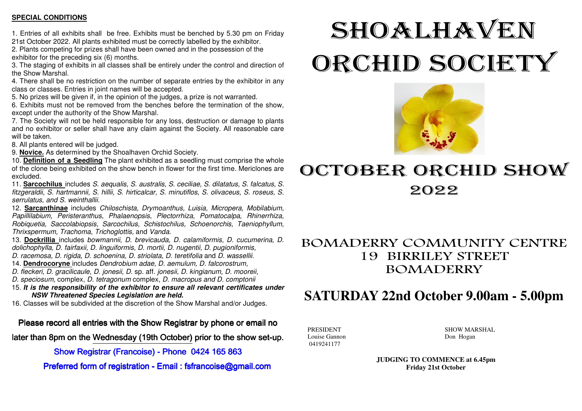#### **SPECIAL CONDITIONS**

1. Entries of all exhibits shall be free. Exhibits must be benched by 5.30 pm on Friday

21st October 2022. All plants exhibited must be correctly labelled by the exhibitor. 2. Plants competing for prizes shall have been owned and in the possession of the exhibitor for the preceding six (6) months.

 3. The staging of exhibits in all classes shall be entirely under the control and direction of the Show Marshal.

4. There shall be no restriction on the number of separate entries by the exhibitor in any class or classes. Entries in joint names will be accepted.

5. No prizes will be given if, in the opinion of the judges, a prize is not warranted.

 6. Exhibits must not be removed from the benches before the termination of the show, except under the authority of the Show Marshal.

 7. The Society will not be held responsible for any loss, destruction or damage to plants and no exhibitor or seller shall have any claim against the Society. All reasonable care will be taken.

8. All plants entered will be judged.

9. **Novice.** As determined by the Shoalhaven Orchid Society.

 10. **Definition of a Seedling** The plant exhibited as a seedling must comprise the whole of the clone being exhibited on the show bench in flower for the first time. Mericlones are excluded.

 11. **Sarcochilus** includes S. aequalis, S. australis, S. ceciliae, S. dilatatus, S. falcatus, S. fitzgeraldii, S. hartmannii, S. hillii, S. hirticalcar, S. minutiflos, S. olivaceus, S. roseus, S. serrulatus, and S. weinthallii.

12. **Sarcanthinae** includes Chiloschista, Drymoanthus, Luisia, Micropera, Mobilabium, Papillilabium, Peristeranthus, Phalaenopsis, Plectorrhiza, Pomatocalpa, Rhinerrhiza, Robiquetia, Saccolabiopsis, Sarcochilus, Schistochilus, Schoenorchis, Taeniophyllum, Thrixspermum, Trachoma, Trichoglottis, and Vanda.

 13. **Dockrillia** includes bowmannii, D. brevicauda, D. calamiformis, D. cucumerina, D. dolichophylla, D. fairfaxii, D. linguiformis, D. mortii, D. nugentii, D. pugioniformis,

- D. racemosa, D. rigida, D. schoenina, D. striolata, D. teretifolia and D. wassellii.
- 14. **Dendrocoryne** includes Dendrobium adae, D. aemulum, D. falcorostrum,
- D. fleckeri, D. gracilicaule, D. jonesii, D. sp. aff. jonesii, D. kingianum, D. mooreii,
- D. speciosum, complex, D. tetragonum complex, D. macropus and D. comptonii

 15. **It is the responsibility of the exhibitor to ensure all relevant certificates under NSW Threatened Species Legislation are held.** 

16. Classes will be subdivided at the discretion of the Show Marshal and/or Judges.

Please record all entries with the Show Registrar by phone or email no

later than 8pm on the Wednesday (19th October) prior to the show set-up.

Show Registrar (Francoise) - Phone 0424 165 863

Preferred form of registration - Email : fsfrancoise@gmail.com

# SHOALHAVEN ORCHID SOCIETY



## OCTOBER ORCHID SHOW 2022

#### BOMADERRY COMMUNITY CENTRE 19 BIRRILEY STREET BOMADERRY

### **SATURDAY 22nd October 9.00am - 5.00pm**

Louise Gannon Don Hogan 0419241177

PRESIDENT SHOW MARSHAL

**JUDGING TO COMMENCE at 6.45pm Friday 21st October**